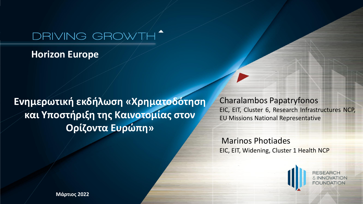## DRIVING GROWTH'

**Horizon Europe** 

**Eνημερωτική εκδήλωση «Χρηματοδότηση και Υποστήριξη της Καινοτομίας στον Ορίζοντα Ευρώπη»**

Charalambos Papatryfonos EIC, EIT, Cluster 6, Research Infrastructures NCP, EU Missions National Representative

Marinos Photiades EIC, EIT, Widening, Cluster 1 Health NCP

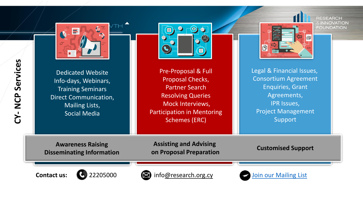

Dedicated Website

Info-days, Webinars,

Training Seminars

Direct Communication,

Mailing Lists, Social Media





Legal & Financial Issues, Consortium Agreement Enquiries, Grant Agreements, IPR Issues, Project Management Support

G.

**RESEARCH E INNOVATION FOUNDATION** 

Proposal Checks, Resolving Queries Mock Interviews, Participation in Mentoring Schemes (ERC)

**Awareness Raising Disseminating Information**

**Assisting and Advising on Proposal Preparation Customised Support**





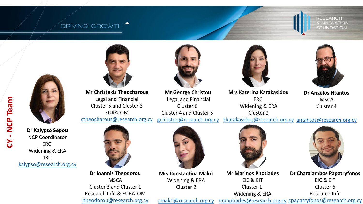## **DRIVING GROWTH**

**RESEARCH** & INNOVATION **FOUNDATION** 



**Mr Christakis Theocharous** Legal and Financial Cluster 5 and Cluster 3 EURATOM [ctheocharous@research.org.cy](mailto:ctheocharous@research.org.cy)



**Mr George Christou** Legal and Financial Cluster 6 Cluster 4 and Cluster 5 [gchristou@research.org.cy](mailto:gchristou@research.org.cy)



**Mrs Katerina Karakasidou** ERC Widening & ERA Cluster 2



**Dr Angelos Ntantos MSCA** Cluster 4

**Dr Kalypso Sepou** NCP Coordinator ERC Widening & ERA JRC [kalypso@research.org.cy](mailto:kalypso@research.org.cy)



**Dr Ioannis Theodorou MSCA** Cluster 3 and Cluster 1 Research Infr. & EURATOM [itheodorou@research.org.cy](mailto:itheodorou@research.org.cy)



**Mrs Constantina Makri** Widening & ERA Cluster 2



**Mr Marinos Photiades** EIC & EIT Cluster 1 Widening & ERA



**Dr Charalambos Papatryfonos** EIC & EIT Cluster 6 Research Infr.

cmakri@research.org.cy [mphotiades@research.org.cy](mailto:mphotiades@research.org.cy) [cpapatryfonos@research.org.cy](mailto:cpapatryfonos@research.org.cy)

[kkarakasidou@research.org.cy](mailto:kkarakasidou@research.org.cy) [antantos@research.org.cy](mailto:antantos@research.org.cy)